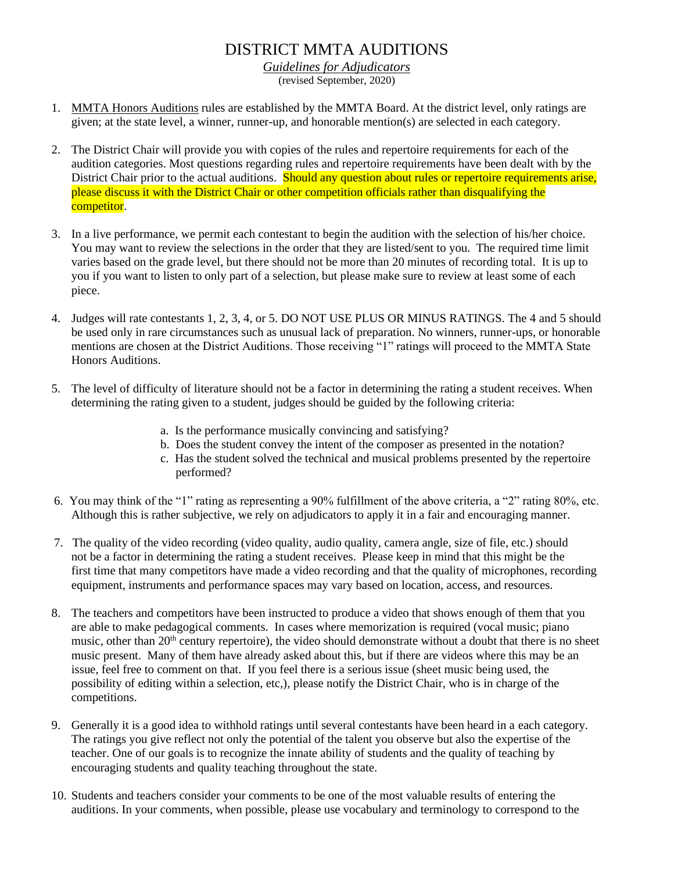## DISTRICT MMTA AUDITIONS

*Guidelines for Adjudicators* (revised September, 2020)

- 1. MMTA Honors Auditions rules are established by the MMTA Board. At the district level, only ratings are given; at the state level, a winner, runner-up, and honorable mention(s) are selected in each category.
- 2. The District Chair will provide you with copies of the rules and repertoire requirements for each of the audition categories. Most questions regarding rules and repertoire requirements have been dealt with by the District Chair prior to the actual auditions. Should any question about rules or repertoire requirements arise, please discuss it with the District Chair or other competition officials rather than disqualifying the competitor.
- 3. In a live performance, we permit each contestant to begin the audition with the selection of his/her choice. You may want to review the selections in the order that they are listed/sent to you. The required time limit varies based on the grade level, but there should not be more than 20 minutes of recording total. It is up to you if you want to listen to only part of a selection, but please make sure to review at least some of each piece.
- 4. Judges will rate contestants 1, 2, 3, 4, or 5. DO NOT USE PLUS OR MINUS RATINGS. The 4 and 5 should be used only in rare circumstances such as unusual lack of preparation. No winners, runner-ups, or honorable mentions are chosen at the District Auditions. Those receiving "1" ratings will proceed to the MMTA State Honors Auditions.
- 5. The level of difficulty of literature should not be a factor in determining the rating a student receives. When determining the rating given to a student, judges should be guided by the following criteria:
	- a. Is the performance musically convincing and satisfying?
	- b. Does the student convey the intent of the composer as presented in the notation?
	- c. Has the student solved the technical and musical problems presented by the repertoire performed?
- 6. You may think of the "1" rating as representing a 90% fulfillment of the above criteria, a "2" rating 80%, etc. Although this is rather subjective, we rely on adjudicators to apply it in a fair and encouraging manner.
- 7. The quality of the video recording (video quality, audio quality, camera angle, size of file, etc.) should not be a factor in determining the rating a student receives. Please keep in mind that this might be the first time that many competitors have made a video recording and that the quality of microphones, recording equipment, instruments and performance spaces may vary based on location, access, and resources.
- 8. The teachers and competitors have been instructed to produce a video that shows enough of them that you are able to make pedagogical comments. In cases where memorization is required (vocal music; piano music, other than 20<sup>th</sup> century repertoire), the video should demonstrate without a doubt that there is no sheet music present. Many of them have already asked about this, but if there are videos where this may be an issue, feel free to comment on that. If you feel there is a serious issue (sheet music being used, the possibility of editing within a selection, etc,), please notify the District Chair, who is in charge of the competitions.
- 9. Generally it is a good idea to withhold ratings until several contestants have been heard in a each category. The ratings you give reflect not only the potential of the talent you observe but also the expertise of the teacher. One of our goals is to recognize the innate ability of students and the quality of teaching by encouraging students and quality teaching throughout the state.
- 10. Students and teachers consider your comments to be one of the most valuable results of entering the auditions. In your comments, when possible, please use vocabulary and terminology to correspond to the